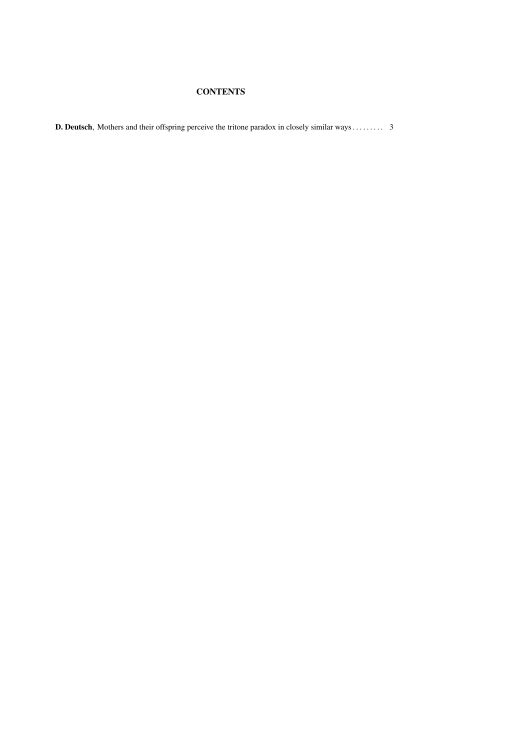# **CONTENTS**

D. Deutsch, Mothers and their offspring perceive the tritone paradox in closely similar ways . . . . . . . . . 3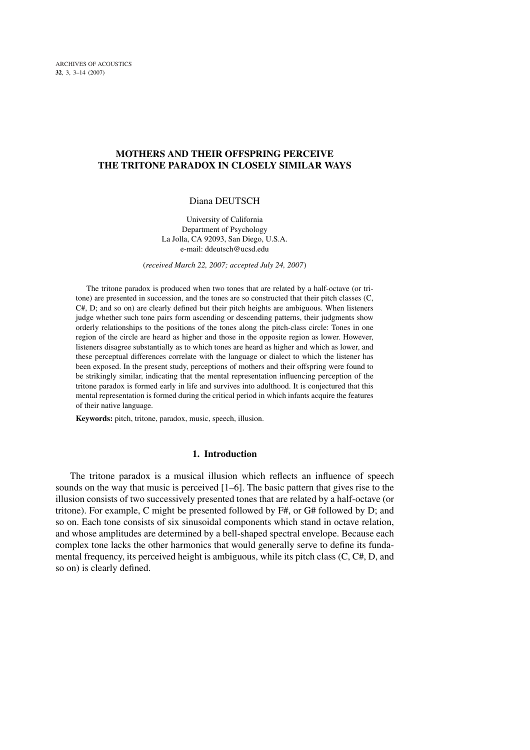# MOTHERS AND THEIR OFFSPRING PERCEIVE THE TRITONE PARADOX IN CLOSELY SIMILAR WAYS

# Diana DEUTSCH

University of California Department of Psychology La Jolla, CA 92093, San Diego, U.S.A. e-mail: ddeutsch@ucsd.edu

(*received March 22, 2007; accepted July 24, 2007*)

The tritone paradox is produced when two tones that are related by a half-octave (or tritone) are presented in succession, and the tones are so constructed that their pitch classes (C,  $C#$ , D; and so on) are clearly defined but their pitch heights are ambiguous. When listeners judge whether such tone pairs form ascending or descending patterns, their judgments show orderly relationships to the positions of the tones along the pitch-class circle: Tones in one region of the circle are heard as higher and those in the opposite region as lower. However, listeners disagree substantially as to which tones are heard as higher and which as lower, and these perceptual differences correlate with the language or dialect to which the listener has been exposed. In the present study, perceptions of mothers and their offspring were found to be strikingly similar, indicating that the mental representation influencing perception of the tritone paradox is formed early in life and survives into adulthood. It is conjectured that this mental representation is formed during the critical period in which infants acquire the features of their native language.

Keywords: pitch, tritone, paradox, music, speech, illusion.

# 1. Introduction

The tritone paradox is a musical illusion which reflects an influence of speech sounds on the way that music is perceived [1–6]. The basic pattern that gives rise to the illusion consists of two successively presented tones that are related by a half-octave (or tritone). For example, C might be presented followed by F#, or G# followed by D; and so on. Each tone consists of six sinusoidal components which stand in octave relation, and whose amplitudes are determined by a bell-shaped spectral envelope. Because each complex tone lacks the other harmonics that would generally serve to define its fundamental frequency, its perceived height is ambiguous, while its pitch class (C, C#, D, and so on) is clearly defined.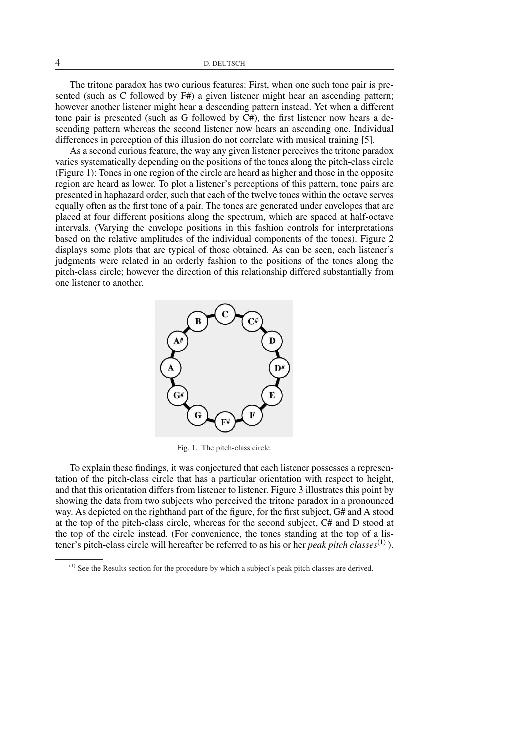The tritone paradox has two curious features: First, when one such tone pair is presented (such as C followed by F#) a given listener might hear an ascending pattern; however another listener might hear a descending pattern instead. Yet when a different tone pair is presented (such as G followed by C#), the first listener now hears a descending pattern whereas the second listener now hears an ascending one. Individual differences in perception of this illusion do not correlate with musical training [5].

As a second curious feature, the way any given listener perceives the tritone paradox varies systematically depending on the positions of the tones along the pitch-class circle (Figure 1): Tones in one region of the circle are heard as higher and those in the opposite region are heard as lower. To plot a listener's perceptions of this pattern, tone pairs are presented in haphazard order, such that each of the twelve tones within the octave serves equally often as the first tone of a pair. The tones are generated under envelopes that are placed at four different positions along the spectrum, which are spaced at half-octave intervals. (Varying the envelope positions in this fashion controls for interpretations based on the relative amplitudes of the individual components of the tones). Figure 2 displays some plots that are typical of those obtained. As can be seen, each listener's judgments were related in an orderly fashion to the positions of the tones along the pitch-class circle; however the direction of this relationship differed substantially from one listener to another.



Fig. 1. The pitch-class circle.

To explain these findings, it was conjectured that each listener possesses a representation of the pitch-class circle that has a particular orientation with respect to height, and that this orientation differs from listener to listener. Figure 3 illustrates this point by showing the data from two subjects who perceived the tritone paradox in a pronounced way. As depicted on the righthand part of the figure, for the first subject, G# and A stood at the top of the pitch-class circle, whereas for the second subject, C# and D stood at the top of the circle instead. (For convenience, the tones standing at the top of a listener's pitch-class circle will hereafter be referred to as his or her *peak pitch classes*(1) ).

<sup>(1)</sup> See the Results section for the procedure by which a subject's peak pitch classes are derived.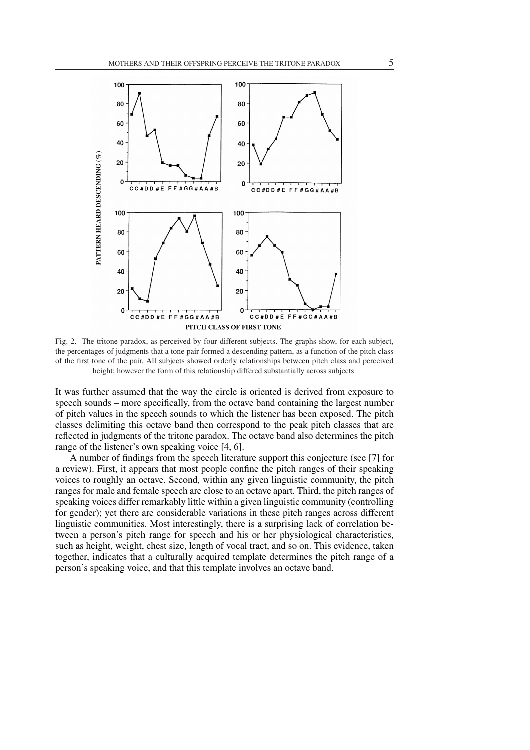

Fig. 2. The tritone paradox, as perceived by four different subjects. The graphs show, for each subject, the percentages of judgments that a tone pair formed a descending pattern, as a function of the pitch class of the first tone of the pair. All subjects showed orderly relationships between pitch class and perceived height; however the form of this relationship differed substantially across subjects.

It was further assumed that the way the circle is oriented is derived from exposure to speech sounds – more specifically, from the octave band containing the largest number of pitch values in the speech sounds to which the listener has been exposed. The pitch classes delimiting this octave band then correspond to the peak pitch classes that are reflected in judgments of the tritone paradox. The octave band also determines the pitch range of the listener's own speaking voice [4, 6].

A number of findings from the speech literature support this conjecture (see [7] for a review). First, it appears that most people confine the pitch ranges of their speaking voices to roughly an octave. Second, within any given linguistic community, the pitch ranges for male and female speech are close to an octave apart. Third, the pitch ranges of speaking voices differ remarkably little within a given linguistic community (controlling for gender); yet there are considerable variations in these pitch ranges across different linguistic communities. Most interestingly, there is a surprising lack of correlation between a person's pitch range for speech and his or her physiological characteristics, such as height, weight, chest size, length of vocal tract, and so on. This evidence, taken together, indicates that a culturally acquired template determines the pitch range of a person's speaking voice, and that this template involves an octave band.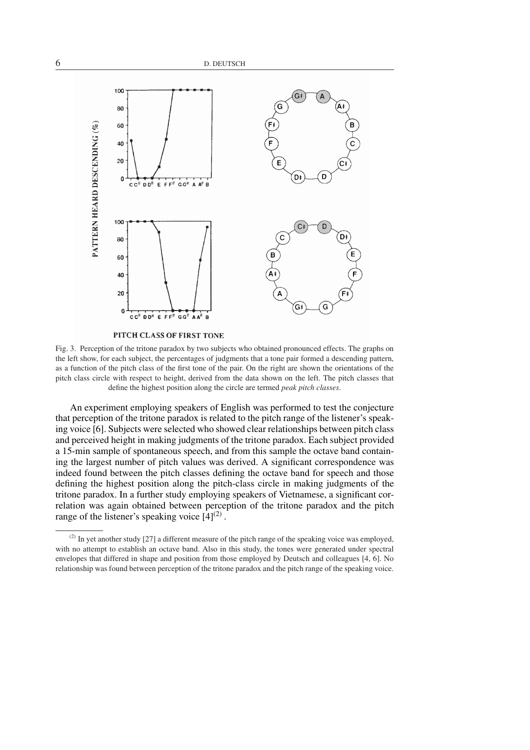

PITCH CLASS OF FIRST TONE

Fig. 3. Perception of the tritone paradox by two subjects who obtained pronounced effects. The graphs on the left show, for each subject, the percentages of judgments that a tone pair formed a descending pattern, as a function of the pitch class of the first tone of the pair. On the right are shown the orientations of the pitch class circle with respect to height, derived from the data shown on the left. The pitch classes that define the highest position along the circle are termed *peak pitch classes*.

An experiment employing speakers of English was performed to test the conjecture that perception of the tritone paradox is related to the pitch range of the listener's speaking voice [6]. Subjects were selected who showed clear relationships between pitch class and perceived height in making judgments of the tritone paradox. Each subject provided a 15-min sample of spontaneous speech, and from this sample the octave band containing the largest number of pitch values was derived. A significant correspondence was indeed found between the pitch classes defining the octave band for speech and those defining the highest position along the pitch-class circle in making judgments of the tritone paradox. In a further study employing speakers of Vietnamese, a significant correlation was again obtained between perception of the tritone paradox and the pitch range of the listener's speaking voice  $[4]^{(2)}$ .

 $^{(2)}$  In yet another study [27] a different measure of the pitch range of the speaking voice was employed, with no attempt to establish an octave band. Also in this study, the tones were generated under spectral envelopes that differed in shape and position from those employed by Deutsch and colleagues [4, 6]. No relationship was found between perception of the tritone paradox and the pitch range of the speaking voice.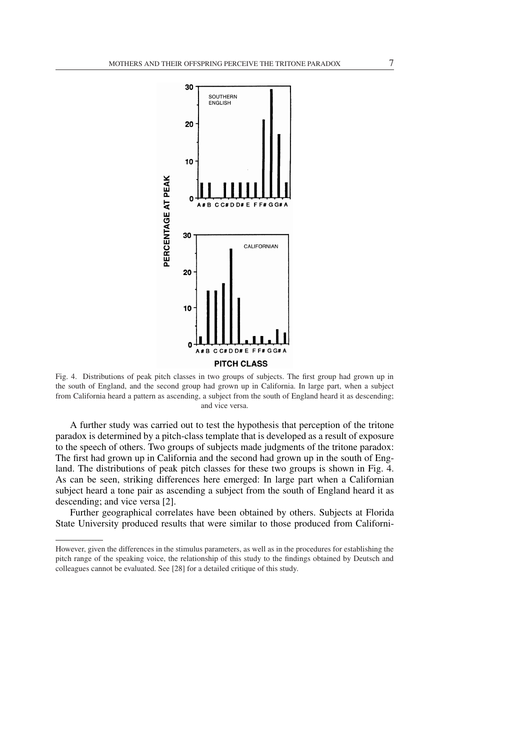

Fig. 4. Distributions of peak pitch classes in two groups of subjects. The first group had grown up in the south of England, and the second group had grown up in California. In large part, when a subject from California heard a pattern as ascending, a subject from the south of England heard it as descending; and vice versa.

A further study was carried out to test the hypothesis that perception of the tritone paradox is determined by a pitch-class template that is developed as a result of exposure to the speech of others. Two groups of subjects made judgments of the tritone paradox: The first had grown up in California and the second had grown up in the south of England. The distributions of peak pitch classes for these two groups is shown in Fig. 4. As can be seen, striking differences here emerged: In large part when a Californian subject heard a tone pair as ascending a subject from the south of England heard it as descending; and vice versa [2].

Further geographical correlates have been obtained by others. Subjects at Florida State University produced results that were similar to those produced from Californi-

However, given the differences in the stimulus parameters, as well as in the procedures for establishing the pitch range of the speaking voice, the relationship of this study to the findings obtained by Deutsch and colleagues cannot be evaluated. See [28] for a detailed critique of this study.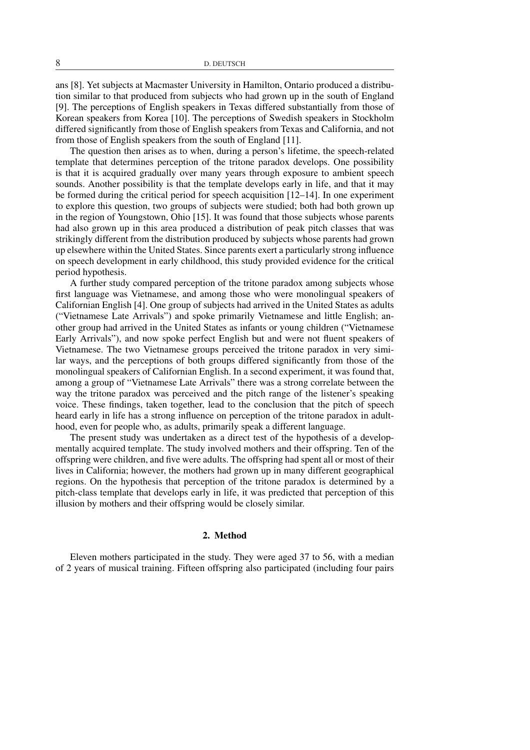ans [8]. Yet subjects at Macmaster University in Hamilton, Ontario produced a distribution similar to that produced from subjects who had grown up in the south of England [9]. The perceptions of English speakers in Texas differed substantially from those of Korean speakers from Korea [10]. The perceptions of Swedish speakers in Stockholm differed significantly from those of English speakers from Texas and California, and not from those of English speakers from the south of England [11].

The question then arises as to when, during a person's lifetime, the speech-related template that determines perception of the tritone paradox develops. One possibility is that it is acquired gradually over many years through exposure to ambient speech sounds. Another possibility is that the template develops early in life, and that it may be formed during the critical period for speech acquisition [12–14]. In one experiment to explore this question, two groups of subjects were studied; both had both grown up in the region of Youngstown, Ohio [15]. It was found that those subjects whose parents had also grown up in this area produced a distribution of peak pitch classes that was strikingly different from the distribution produced by subjects whose parents had grown up elsewhere within the United States. Since parents exert a particularly strong influence on speech development in early childhood, this study provided evidence for the critical period hypothesis.

A further study compared perception of the tritone paradox among subjects whose first language was Vietnamese, and among those who were monolingual speakers of Californian English [4]. One group of subjects had arrived in the United States as adults ("Vietnamese Late Arrivals") and spoke primarily Vietnamese and little English; another group had arrived in the United States as infants or young children ("Vietnamese Early Arrivals"), and now spoke perfect English but and were not fluent speakers of Vietnamese. The two Vietnamese groups perceived the tritone paradox in very similar ways, and the perceptions of both groups differed significantly from those of the monolingual speakers of Californian English. In a second experiment, it was found that, among a group of "Vietnamese Late Arrivals" there was a strong correlate between the way the tritone paradox was perceived and the pitch range of the listener's speaking voice. These findings, taken together, lead to the conclusion that the pitch of speech heard early in life has a strong influence on perception of the tritone paradox in adulthood, even for people who, as adults, primarily speak a different language.

The present study was undertaken as a direct test of the hypothesis of a developmentally acquired template. The study involved mothers and their offspring. Ten of the offspring were children, and five were adults. The offspring had spent all or most of their lives in California; however, the mothers had grown up in many different geographical regions. On the hypothesis that perception of the tritone paradox is determined by a pitch-class template that develops early in life, it was predicted that perception of this illusion by mothers and their offspring would be closely similar.

#### 2. Method

Eleven mothers participated in the study. They were aged 37 to 56, with a median of 2 years of musical training. Fifteen offspring also participated (including four pairs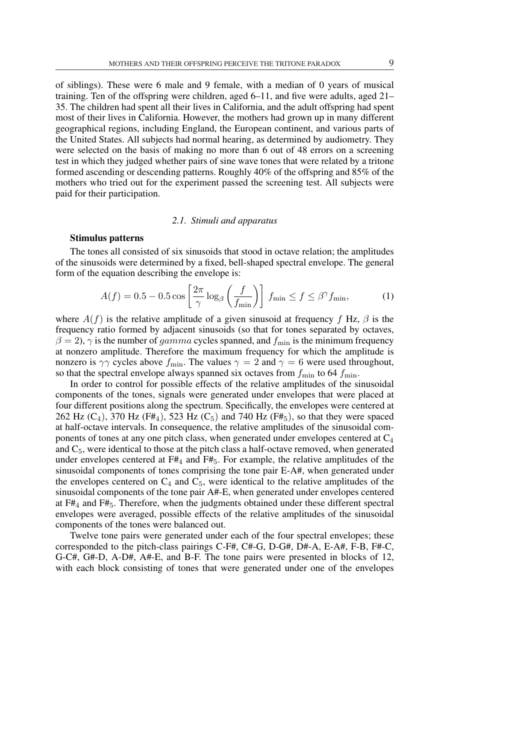of siblings). These were 6 male and 9 female, with a median of 0 years of musical training. Ten of the offspring were children, aged 6–11, and five were adults, aged 21– 35. The children had spent all their lives in California, and the adult offspring had spent most of their lives in California. However, the mothers had grown up in many different geographical regions, including England, the European continent, and various parts of the United States. All subjects had normal hearing, as determined by audiometry. They were selected on the basis of making no more than 6 out of 48 errors on a screening test in which they judged whether pairs of sine wave tones that were related by a tritone formed ascending or descending patterns. Roughly 40% of the offspring and 85% of the mothers who tried out for the experiment passed the screening test. All subjects were paid for their participation.

#### *2.1. Stimuli and apparatus*

# Stimulus patterns

The tones all consisted of six sinusoids that stood in octave relation; the amplitudes of the sinusoids were determined by a fixed, bell-shaped spectral envelope. The general form of the equation describing the envelope is:

$$
A(f) = 0.5 - 0.5 \cos\left[\frac{2\pi}{\gamma} \log_{\beta}\left(\frac{f}{f_{\min}}\right)\right] f_{\min} \le f \le \beta^{\gamma} f_{\min},\tag{1}
$$

where  $A(f)$  is the relative amplitude of a given sinusoid at frequency f Hz,  $\beta$  is the frequency ratio formed by adjacent sinusoids (so that for tones separated by octaves,  $\beta = 2$ ,  $\gamma$  is the number of *gamma* cycles spanned, and  $f_{\text{min}}$  is the minimum frequency at nonzero amplitude. Therefore the maximum frequency for which the amplitude is nonzero is  $\gamma\gamma$  cycles above  $f_{\text{min}}$ . The values  $\gamma = 2$  and  $\gamma = 6$  were used throughout, so that the spectral envelope always spanned six octaves from  $f_{\text{min}}$  to 64  $f_{\text{min}}$ .

In order to control for possible effects of the relative amplitudes of the sinusoidal components of the tones, signals were generated under envelopes that were placed at four different positions along the spectrum. Specifically, the envelopes were centered at 262 Hz  $(C_4)$ , 370 Hz  $(F#_4)$ , 523 Hz  $(C_5)$  and 740 Hz  $(F#_5)$ , so that they were spaced at half-octave intervals. In consequence, the relative amplitudes of the sinusoidal components of tones at any one pitch class, when generated under envelopes centered at  $C_4$ and  $C_5$ , were identical to those at the pitch class a half-octave removed, when generated under envelopes centered at  $F#_4$  and  $F#_5$ . For example, the relative amplitudes of the sinusoidal components of tones comprising the tone pair E-A#, when generated under the envelopes centered on  $C_4$  and  $C_5$ , were identical to the relative amplitudes of the sinusoidal components of the tone pair A#-E, when generated under envelopes centered at  $F#_4$  and  $F#_5$ . Therefore, when the judgments obtained under these different spectral envelopes were averaged, possible effects of the relative amplitudes of the sinusoidal components of the tones were balanced out.

Twelve tone pairs were generated under each of the four spectral envelopes; these corresponded to the pitch-class pairings C-F#, C#-G, D-G#, D#-A, E-A#, F-B, F#-C, G-C#, G#-D, A-D#, A#-E, and B-F. The tone pairs were presented in blocks of 12, with each block consisting of tones that were generated under one of the envelopes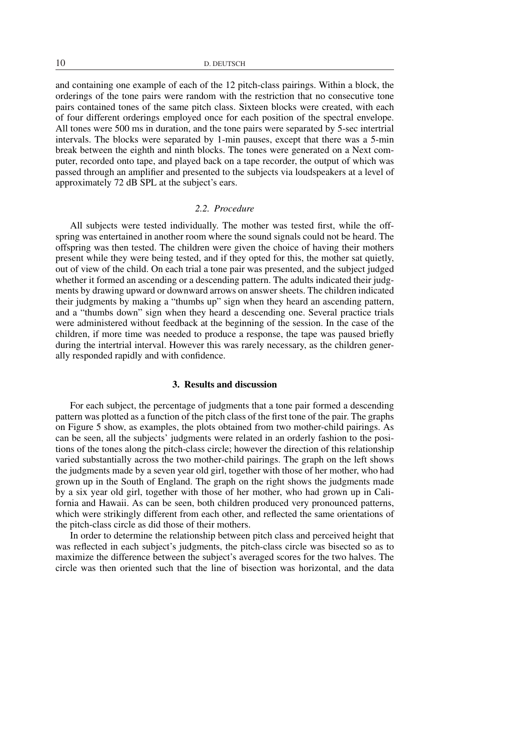10 D. DEUTSCH

and containing one example of each of the 12 pitch-class pairings. Within a block, the orderings of the tone pairs were random with the restriction that no consecutive tone pairs contained tones of the same pitch class. Sixteen blocks were created, with each of four different orderings employed once for each position of the spectral envelope. All tones were 500 ms in duration, and the tone pairs were separated by 5-sec intertrial intervals. The blocks were separated by 1-min pauses, except that there was a 5-min break between the eighth and ninth blocks. The tones were generated on a Next computer, recorded onto tape, and played back on a tape recorder, the output of which was passed through an amplifier and presented to the subjects via loudspeakers at a level of approximately 72 dB SPL at the subject's ears.

### *2.2. Procedure*

All subjects were tested individually. The mother was tested first, while the offspring was entertained in another room where the sound signals could not be heard. The offspring was then tested. The children were given the choice of having their mothers present while they were being tested, and if they opted for this, the mother sat quietly, out of view of the child. On each trial a tone pair was presented, and the subject judged whether it formed an ascending or a descending pattern. The adults indicated their judgments by drawing upward or downward arrows on answer sheets. The children indicated their judgments by making a "thumbs up" sign when they heard an ascending pattern, and a "thumbs down" sign when they heard a descending one. Several practice trials were administered without feedback at the beginning of the session. In the case of the children, if more time was needed to produce a response, the tape was paused briefly during the intertrial interval. However this was rarely necessary, as the children generally responded rapidly and with confidence.

#### 3. Results and discussion

For each subject, the percentage of judgments that a tone pair formed a descending pattern was plotted as a function of the pitch class of the first tone of the pair. The graphs on Figure 5 show, as examples, the plots obtained from two mother-child pairings. As can be seen, all the subjects' judgments were related in an orderly fashion to the positions of the tones along the pitch-class circle; however the direction of this relationship varied substantially across the two mother-child pairings. The graph on the left shows the judgments made by a seven year old girl, together with those of her mother, who had grown up in the South of England. The graph on the right shows the judgments made by a six year old girl, together with those of her mother, who had grown up in California and Hawaii. As can be seen, both children produced very pronounced patterns, which were strikingly different from each other, and reflected the same orientations of the pitch-class circle as did those of their mothers.

In order to determine the relationship between pitch class and perceived height that was reflected in each subject's judgments, the pitch-class circle was bisected so as to maximize the difference between the subject's averaged scores for the two halves. The circle was then oriented such that the line of bisection was horizontal, and the data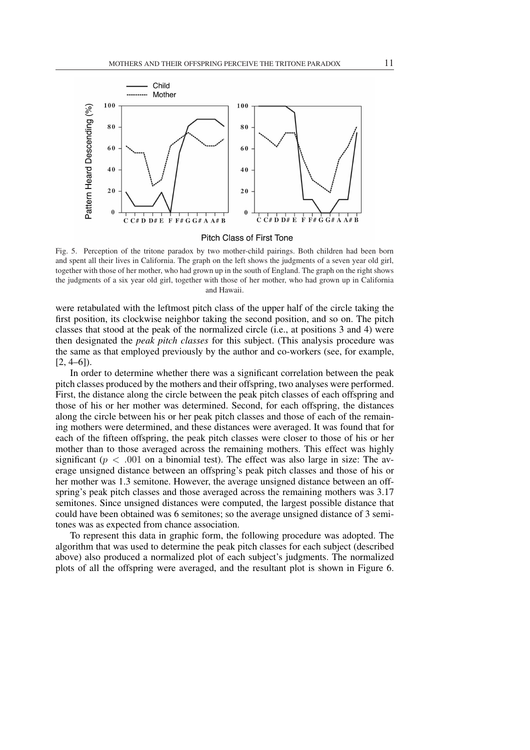

#### Pitch Class of First Tone

Fig. 5. Perception of the tritone paradox by two mother-child pairings. Both children had been born and spent all their lives in California. The graph on the left shows the judgments of a seven year old girl, together with those of her mother, who had grown up in the south of England. The graph on the right shows the judgments of a six year old girl, together with those of her mother, who had grown up in California and Hawaii.

were retabulated with the leftmost pitch class of the upper half of the circle taking the first position, its clockwise neighbor taking the second position, and so on. The pitch classes that stood at the peak of the normalized circle (i.e., at positions 3 and 4) were then designated the *peak pitch classes* for this subject. (This analysis procedure was the same as that employed previously by the author and co-workers (see, for example,  $[2, 4–6]$ ).

In order to determine whether there was a significant correlation between the peak pitch classes produced by the mothers and their offspring, two analyses were performed. First, the distance along the circle between the peak pitch classes of each offspring and those of his or her mother was determined. Second, for each offspring, the distances along the circle between his or her peak pitch classes and those of each of the remaining mothers were determined, and these distances were averaged. It was found that for each of the fifteen offspring, the peak pitch classes were closer to those of his or her mother than to those averaged across the remaining mothers. This effect was highly significant ( $p < .001$  on a binomial test). The effect was also large in size: The average unsigned distance between an offspring's peak pitch classes and those of his or her mother was 1.3 semitone. However, the average unsigned distance between an offspring's peak pitch classes and those averaged across the remaining mothers was 3.17 semitones. Since unsigned distances were computed, the largest possible distance that could have been obtained was 6 semitones; so the average unsigned distance of 3 semitones was as expected from chance association.

To represent this data in graphic form, the following procedure was adopted. The algorithm that was used to determine the peak pitch classes for each subject (described above) also produced a normalized plot of each subject's judgments. The normalized plots of all the offspring were averaged, and the resultant plot is shown in Figure 6.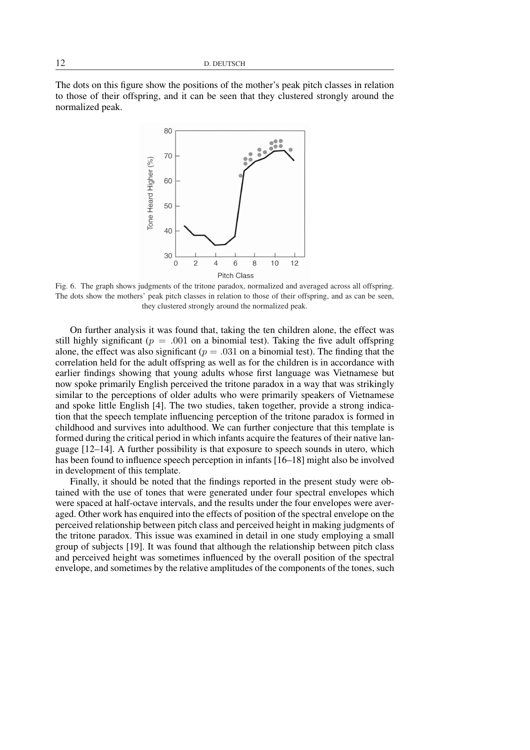The dots on this figure show the positions of the mother's peak pitch classes in relation to those of their offspring, and it can be seen that they clustered strongly around the normalized peak.



Fig. 6. The graph shows judgments of the tritone paradox, normalized and averaged across all offspring. The dots show the mothers' peak pitch classes in relation to those of their offspring, and as can be seen, they clustered strongly around the normalized peak.

On further analysis it was found that, taking the ten children alone, the effect was still highly significant ( $p = .001$  on a binomial test). Taking the five adult offspring alone, the effect was also significant ( $p = .031$  on a binomial test). The finding that the correlation held for the adult offspring as well as for the children is in accordance with earlier findings showing that young adults whose first language was Vietnamese but now spoke primarily English perceived the tritone paradox in a way that was strikingly similar to the perceptions of older adults who were primarily speakers of Vietnamese and spoke little English [4]. The two studies, taken together, provide a strong indication that the speech template influencing perception of the tritone paradox is formed in childhood and survives into adulthood. We can further conjecture that this template is formed during the critical period in which infants acquire the features of their native language [12–14]. A further possibility is that exposure to speech sounds in utero, which has been found to influence speech perception in infants [16–18] might also be involved in development of this template.

Finally, it should be noted that the findings reported in the present study were obtained with the use of tones that were generated under four spectral envelopes which were spaced at half-octave intervals, and the results under the four envelopes were averaged. Other work has enquired into the effects of position of the spectral envelope on the perceived relationship between pitch class and perceived height in making judgments of the tritone paradox. This issue was examined in detail in one study employing a small group of subjects [19]. It was found that although the relationship between pitch class and perceived height was sometimes influenced by the overall position of the spectral envelope, and sometimes by the relative amplitudes of the components of the tones, such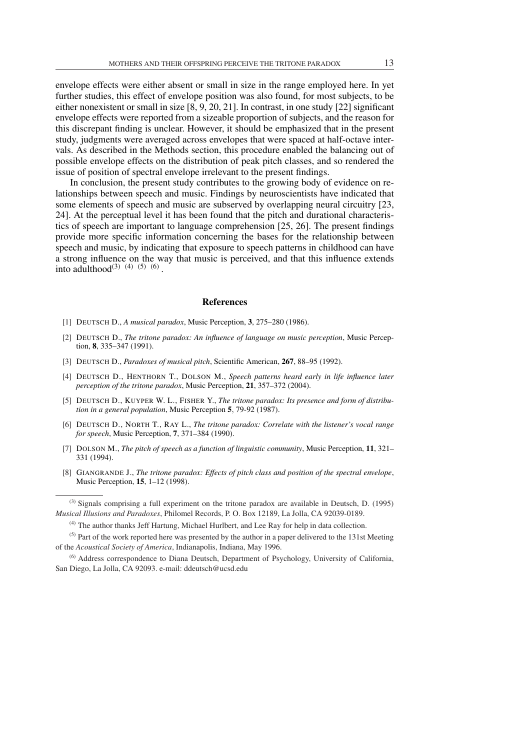envelope effects were either absent or small in size in the range employed here. In yet further studies, this effect of envelope position was also found, for most subjects, to be either nonexistent or small in size [8, 9, 20, 21]. In contrast, in one study [22] significant envelope effects were reported from a sizeable proportion of subjects, and the reason for this discrepant finding is unclear. However, it should be emphasized that in the present study, judgments were averaged across envelopes that were spaced at half-octave intervals. As described in the Methods section, this procedure enabled the balancing out of possible envelope effects on the distribution of peak pitch classes, and so rendered the issue of position of spectral envelope irrelevant to the present findings.

In conclusion, the present study contributes to the growing body of evidence on relationships between speech and music. Findings by neuroscientists have indicated that some elements of speech and music are subserved by overlapping neural circuitry [23, 24]. At the perceptual level it has been found that the pitch and durational characteristics of speech are important to language comprehension [25, 26]. The present findings provide more specific information concerning the bases for the relationship between speech and music, by indicating that exposure to speech patterns in childhood can have a strong influence on the way that music is perceived, and that this influence extends into adulthood<sup>(3) (4)</sup> (5) (6).

#### References

- [1] DEUTSCH D., *A musical paradox*, Music Perception, 3, 275–280 (1986).
- [2] DEUTSCH D., *The tritone paradox: An influence of language on music perception*, Music Perception, 8, 335–347 (1991).
- [3] DEUTSCH D., *Paradoxes of musical pitch*, Scientific American, 267, 88–95 (1992).
- [4] DEUTSCH D., HENTHORN T., DOLSON M., *Speech patterns heard early in life influence later perception of the tritone paradox*, Music Perception, 21, 357–372 (2004).
- [5] DEUTSCH D., KUYPER W. L., FISHER Y., *The tritone paradox: Its presence and form of distribution in a general population*, Music Perception 5, 79-92 (1987).
- [6] DEUTSCH D., NORTH T., RAY L., *The tritone paradox: Correlate with the listener's vocal range for speech*, Music Perception, 7, 371–384 (1990).
- [7] DOLSON M., *The pitch of speech as a function of linguistic community*, Music Perception, 11, 321– 331 (1994).
- [8] GIANGRANDE J., *The tritone paradox: Effects of pitch class and position of the spectral envelope*, Music Perception, 15, 1–12 (1998).

 $<sup>(5)</sup>$  Part of the work reported here was presented by the author in a paper delivered to the 131st Meeting</sup> of the *Acoustical Society of America*, Indianapolis, Indiana, May 1996.

 $^{(3)}$  Signals comprising a full experiment on the tritone paradox are available in Deutsch, D. (1995) *Musical Illusions and Paradoxes*, Philomel Records, P. O. Box 12189, La Jolla, CA 92039-0189.

 $<sup>(4)</sup>$  The author thanks Jeff Hartung, Michael Hurlbert, and Lee Ray for help in data collection.</sup>

<sup>&</sup>lt;sup>(6)</sup> Address correspondence to Diana Deutsch, Department of Psychology, University of California, San Diego, La Jolla, CA 92093. e-mail: ddeutsch@ucsd.edu